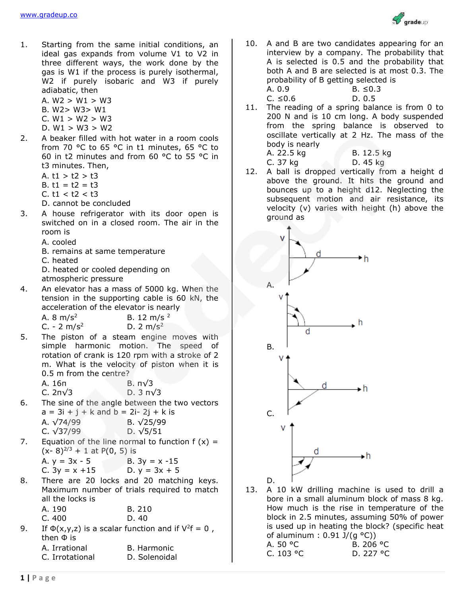

- 1. Starting from the same initial conditions, an ideal gas expands from volume V1 to V2 in three different ways, the work done by the gas is W1 if the process is purely isothermal, W<sub>2</sub> if purely isobaric and W<sub>3</sub> if purely adiabatic, then
	- A.  $W2 > W1 > W3$ B. W2> W3> W1  $C. W1 > W2 > W3$
	- $D. W1 > W3 > W2$
- 2. A beaker filled with hot water in a room cools from 70 °C to 65 °C in t1 minutes, 65 °C to 60 in t2 minutes and from 60 °C to 55 °C in t3 minutes. Then,
	- A.  $t1 > t2 > t3$
	- B.  $t1 = t2 = t3$
	- C. t1 < t2 < t3
	- D. cannot be concluded
- 3. A house refrigerator with its door open is switched on in a closed room. The air in the room is
	- A. cooled
	- B. remains at same temperature
	- C. heated

D. heated or cooled depending on atmospheric pressure

4. An elevator has a mass of 5000 kg. When the tension in the supporting cable is 60 kN, the acceleration of the elevator is nearly

| A. $8 \text{ m/s}^2$   | B. 12 m/s $^2$ |
|------------------------|----------------|
| C. - $2 \text{ m/s}^2$ | D. 2 $m/s^2$   |

5. The piston of a steam engine moves with simple harmonic motion. The speed of rotation of crank is 120 rpm with a stroke of 2 m. What is the velocity of piston when it is 0.5 m from the centre?

| А. 16п  | B. $\pi\sqrt{3}$    |
|---------|---------------------|
| С. 2п√3 | D. $3 \pi \sqrt{3}$ |

6. The sine of the angle between the two vectors  $a = 3i + j + k$  and  $b = 2i - 2j + k$  is  $A = \sqrt{74/99}$  B.  $\sqrt{25/99}$ 

| A. V /4/99 | D. VZJ/99 |
|------------|-----------|
| C. √37/99  | D. √5/51  |

7. Equation of the line normal to function  $f(x) =$  $(x-8)^{2/3} + 1$  at P(0, 5) is

| A. y = 3x - 5    | B. $3y = x - 15$ |
|------------------|------------------|
| C. $3y = x + 15$ | D. $y = 3x + 5$  |

8. There are 20 locks and 20 matching keys. Maximum number of trials required to match all the locks is

| A. 190 | B. 210 |
|--------|--------|
| C.400  | D. 40  |

- 9. If  $\Phi(x,y,z)$  is a scalar function and if  $V^2f = 0$ , then Ф is
	- A. Irrational B. Harmonic
- - C. Irrotational D. Solenoidal
- 10. A and B are two candidates appearing for an interview by a company. The probability that A is selected is 0.5 and the probability that both A and B are selected is at most 0.3. The probability of B getting selected is
	- A. 0.9 B. ≤0.3  $C. ≤0.6$  D. 0.5
		-
- 11. The reading of a spring balance is from 0 to 200 N and is 10 cm long. A body suspended from the spring balance is observed to oscillate vertically at 2 Hz. The mass of the body is nearly B. 12.5 kg

D. 45 kg

12. A ball is dropped vertically from a height d above the ground. It hits the ground and bounces up to a height d12. Neglecting the subsequent motion and air resistance, its velocity (v) varies with height (h) above the ground as



13. A 10 kW drilling machine is used to drill a bore in a small aluminum block of mass 8 kg. How much is the rise in temperature of the block in 2.5 minutes, assuming 50% of power is used up in heating the block? (specific heat of aluminum :  $0.91$   $1/(a °C)$ 

A. 50 °C B. 206 °C C. 103 °C D. 227 °C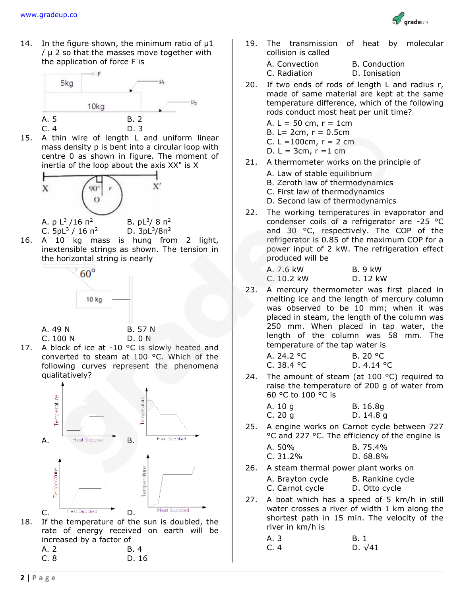

14. In the figure shown, the minimum ratio of  $\mu$ 1 / μ 2 so that the masses move together with the application of force F is



15. A thin wire of length L and uniform linear mass density p is bent into a circular loop with centre 0 as shown in figure. The moment of inertia of the loop about the axis XX" is X



C.  $5pL^3 / 16 \pi^2$  $/$  16 п<sup>2</sup> D. 3pL<sup>3</sup>/8п<sup>2</sup>

16. A 10 kg mass is hung from 2 light, inextensible strings as shown. The tension in the horizontal string is nearly



A. 49 N B. 57 N C. 100 N D. 0 N



17. A block of ice at -10 °C is slowly heated and converted to steam at 100 °C. Which of the following curves represent the phenomena qualitatively?



| <b>Heat Supplied</b> | <b>Heat Supplied</b> |  |
|----------------------|----------------------|--|

rate of energy received on earth will be increased by a factor of A. 2 B. 4

19. The transmission of heat by molecular collision is called

| A. Convection | <b>B.</b> Conduction |
|---------------|----------------------|
| C. Radiation  | D. Ionisation        |

- 20. If two ends of rods of length L and radius r, made of same material are kept at the same temperature difference, which of the following rods conduct most heat per unit time?
	- A.  $L = 50$  cm,  $r = 1$ cm
	- B.  $L = 2cm$ ,  $r = 0.5cm$
	- C.  $L = 100$ cm,  $r = 2$  cm
	- D.  $L = 3cm, r = 1 cm$
- 21. A thermometer works on the principle of
	- A. Law of stable equilibrium
	- B. Zeroth law of thermodynamics
	- C. First law of thermodynamics
	- D. Second law of thermodynamics
- 22. The working temperatures in evaporator and condenser coils of a refrigerator are -25 °C and 30 °C, respectively. The COP of the refrigerator is 0.85 of the maximum COP for a power input of 2 kW. The refrigeration effect produced will be
	- A. 7.6 kW B. 9 kW C. 10.2 kW D. 12 kW
- 23. A mercury thermometer was first placed in melting ice and the length of mercury column was observed to be 10 mm; when it was placed in steam, the length of the column was 250 mm. When placed in tap water, the length of the column was 58 mm. The temperature of the tap water is
	- A. 24.2 °C B. 20 °C  $C. 38.4 °C$  D. 4.14 °C
- 24. The amount of steam (at  $100 °C$ ) required to raise the temperature of 200 g of water from 60 °C to 100 °C is
	- A. 10 g B. 16.8g C. 20 g D. 14.8 g
- 25. A engine works on Carnot cycle between 727 °C and 227 °C. The efficiency of the engine is
	- A. 50% B. 75.4% C. 31.2% D. 68.8%
- 26. A steam thermal power plant works on
	- A. Brayton cycle B. Rankine cycle C. Carnot cycle D. Otto cycle
- 27. A boat which has a speed of 5 km/h in still water crosses a river of width 1 km along the shortest path in 15 min. The velocity of the river in km/h is

| A. 3 | B. 1           |
|------|----------------|
| C. 4 | D. $\sqrt{41}$ |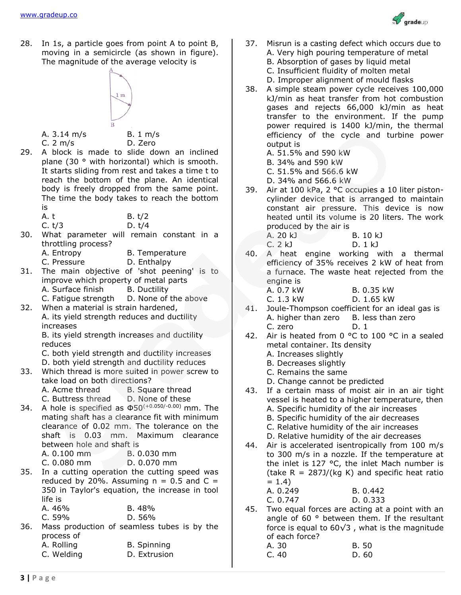

28. In 1s, a particle goes from point A to point B, moving in a semicircle (as shown in figure). The magnitude of the average velocity is



- A. 3.14 m/s B. 1 m/s
	-

C. 2 m/s D. Zero

- 29. A block is made to slide down an inclined plane (30 ° with horizontal) which is smooth. It starts sliding from rest and takes a time t to reach the bottom of the plane. An identical body is freely dropped from the same point. The time the body takes to reach the bottom is
	- A. t B. t/2
	- C. t/3 D. t/4
- 30. What parameter will remain constant in a throttling process?
	- A. Entropy B. Temperature
	- C. Pressure D. Enthalpy
- 31. The main objective of 'shot peening' is to improve which property of metal parts A. Surface finish B. Ductility
	- C. Fatigue strength D. None of the above
- 32. When a material is strain hardened, A. its yield strength reduces and ductility increases

B. its yield strength increases and ductility reduces

- C. both yield strength and ductility increases
- D. both yield strength and ductility reduces
- 33. Which thread is more suited in power screw to take load on both directions?
	- A. Acme thread B. Square thread
	- C. Buttress thread D. None of these
- 34. A hole is specified as Ф50(+0.050/-0.00) mm. The mating shaft has a clearance fit with minimum clearance of 0.02 mm. The tolerance on the shaft is 0.03 mm. Maximum clearance between hole and shaft is
	- A. 0.100 mm B. 0.030 mm
	- C. 0.080 mm D. 0.070 mm
- 35. In a cutting operation the cutting speed was reduced by 20%. Assuming  $n = 0.5$  and  $C =$ 350 in Taylor's equation, the increase in tool life is

| A. 46% | B.48%  |
|--------|--------|
| C.59%  | D. 56% |

- 36. Mass production of seamless tubes is by the process of
	- A. Rolling B. Spinning
	- C. Welding D. Extrusion
- 37. Misrun is a casting defect which occurs due to A. Very high pouring temperature of metal B. Absorption of gases by liquid metal C. Insufficient fluidity of molten metal
	- D. Improper alignment of mould flasks
- 38. A simple steam power cycle receives 100,000 kJ/min as heat transfer from hot combustion gases and rejects 66,000 kJ/min as heat transfer to the environment. If the pump power required is 1400 kJ/min, the thermal efficiency of the cycle and turbine power output is

A. 51.5% and 590 kW

- B. 34% and 590 kW
- C. 51.5% and 566.6 kW
- D. 34% and 566.6 kW
- 39. Air at 100 kPa, 2 °C occupies a 10 liter pistoncylinder device that is arranged to maintain constant air pressure. This device is now heated until its volume is 20 liters. The work produced by the air is

| A. 20 kJ | B. 10 kJ |
|----------|----------|
| C.2 kJ   | D. 1 kJ  |

- 40. A heat engine working with a thermal efficiency of 35% receives 2 kW of heat from a furnace. The waste heat rejected from the engine is
	- A. 0.7 kW B. 0.35 kW C. 1.3 kW D. 1.65 kW
- 41. Joule-Thompson coefficient for an ideal gas is A. higher than zero B. less than zero C. zero D. 1
- 42. Air is heated from 0 °C to 100 °C in a sealed metal container. Its density
	- A. Increases slightly
	- B. Decreases slightly
	- C. Remains the same
	- D. Change cannot be predicted
- 43. If a certain mass of moist air in an air tight vessel is heated to a higher temperature, then
	- A. Specific humidity of the air increases
	- B. Specific humidity of the air decreases
	- C. Relative humidity of the air increases
	- D. Relative humidity of the air decreases
- 44. Air is accelerated isentropically from 100 m/s to 300 m/s in a nozzle. If the temperature at the inlet is 127 °C, the inlet Mach number is (take  $R = 287J/(kg K)$  and specific heat ratio  $= 1.4$ 
	- A. 0.249 B. 0.442 C. 0.747 D. 0.333
- 45. Two equal forces are acting at a point with an angle of 60 ° between them. If the resultant force is equal to  $60\sqrt{3}$ , what is the magnitude of each force?

| A. 30 | B. 50 |
|-------|-------|
| C.40  | D. 60 |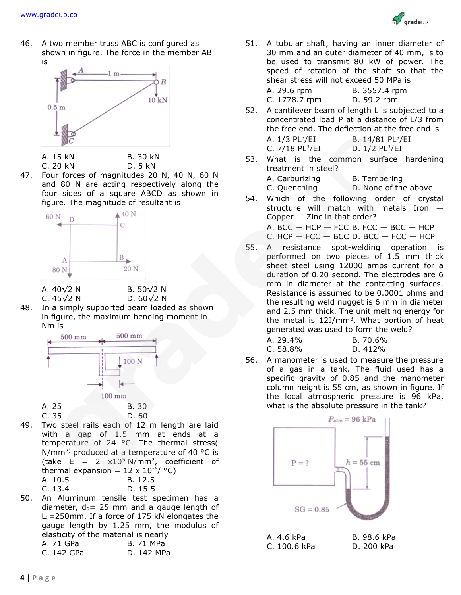

46. A two member truss ABC is configured as shown in figure. The force in the member AB is



A. 15 kN B. 30 kN C. 20 kN D. 5 kN

47. Four forces of magnitudes 20 N, 40 N, 60 N and 80 N are acting respectively along the four sides of a square ABCD as shown in figure. The magnitude of resultant is



A. 40√2 N B. 50√2 N

C. 45√2 N D. 60√2 N

48. In a simply supported beam loaded as shown in figure, the maximum bending moment in Nm is



- 49. Two steel rails each of 12 m length are laid with a gap of 1.5 mm at ends at a temperature of 24 °C. The thermal stress( N/mm<sup>2)</sup> produced at a temperature of 40 °C is (take E = 2  $\times 10^5$  N/mm<sup>2</sup>, coefficient of thermal expansion =  $12 \times 10^{-6}$ / °C) A. 10.5 B. 12.5 C. 13.4 D. 15.5
- 50. An Aluminum tensile test specimen has a diameter,  $d_0 = 25$  mm and a gauge length of L0=250mm. If a force of 175 kN elongates the gauge length by 1.25 mm, the modulus of elasticity of the material is nearly A. 71 GPa B. 71 MPa C. 142 GPa D. 142 MPa

51. A tubular shaft, having an inner diameter of 30 mm and an outer diameter of 40 mm, is to be used to transmit 80 kW of power. The speed of rotation of the shaft so that the shear stress will not exceed 50 MPa is

| A. 29.6 rpm   | B. 3557.4 rpm |
|---------------|---------------|
| C. 1778.7 rpm | D. 59.2 rpm   |

52. A cantilever beam of length L is subjected to a concentrated load P at a distance of L/3 from the free end. The deflection at the free end is  $A$  1/3 DI  $3$ /FI /EI B. 14/81 PL<sup>3</sup>/EI

| $\sqrt{2}$ $\sqrt{2}$ $\sqrt{2}$ $\sqrt{2}$ | $U_1$ , $T_1$ $U_2$ , $L_1$  |
|---------------------------------------------|------------------------------|
| C. $7/18$ PL $^{3}/E$ I                     | D. $1/2$ PL <sup>3</sup> /EI |

53. What is the common surface hardening treatment in steel?

| A. Carburizing | <b>B.</b> Tempering  |
|----------------|----------------------|
| C. Quenching   | D. None of the above |
|                | $\mathbf{u}$         |

54. Which of the following order of crystal structure will match with metals Iron —  $Copper - Zinc$  in that order?

A.  $BCC - HCP - FCC B$ .  $FCC - BCC - HCP$ 

- C.  $HCP FCC BCC D$ .  $BCC FCC HCP$
- 55. A resistance spot-welding operation is performed on two pieces of 1.5 mm thick sheet steel using 12000 amps current for a duration of 0.20 second. The electrodes are 6 mm in diameter at the contacting surfaces. Resistance is assumed to be 0.0001 ohms and the resulting weld nugget is 6 mm in diameter and 2.5 mm thick. The unit melting energy for the metal is  $12J/mm^3$ . What portion of heat generated was used to form the weld?

A. 29.4% B. 70.6% C. 58.8% D. 412%

56. A manometer is used to measure the pressure of a gas in a tank. The fluid used has a specific gravity of 0.85 and the manometer column height is 55 cm, as shown in figure. If the local atmospheric pressure is 96 kPa, what is the absolute pressure in the tank?

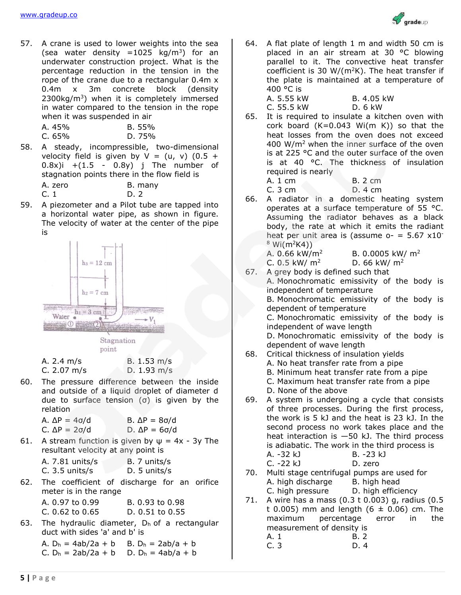57. A crane is used to lower weights into the sea (sea water density =  $1025 \text{ kg/m}^3$ ) for an underwater construction project. What is the percentage reduction in the tension in the rope of the crane due to a rectangular 0.4m x 0.4m x 3m concrete block (density  $2300\text{kg/m}^3$ ) when it is completely immersed in water compared to the tension in the rope when it was suspended in air

| A. 45% | B. 55% |
|--------|--------|
| C. 65% | D. 75% |

- 58. A steady, incompressible, two-dimensional velocity field is given by  $V = (u, v)$  (0.5 + 0.8x)i  $+(1.5 - 0.8y)$  j The number of stagnation points there in the flow field is
	- A. zero B. many
	- C. 1 D. 2
- 59. A piezometer and a Pilot tube are tapped into a horizontal water pipe, as shown in figure. The velocity of water at the center of the pipe is





| A. 2.4 m/s  | B. 1.53 m/s |
|-------------|-------------|
| C. 2.07 m/s | D. 1.93 m/s |

60. The pressure difference between the inside and outside of a liquid droplet of diameter d due to surface tension (σ) is given by the relation

| A. ΔP = $4\sigma/d$ | B. $\Delta P = 8\sigma/d$ |
|---------------------|---------------------------|
| C. ΔP = 2σ/d        | D. $\Delta P = 6\sigma/d$ |

61. A stream function is given by  $\psi = 4x - 3y$  The resultant velocity at any point is

| B. 7 units/s |
|--------------|
| D. 5 units/s |
|              |

62. The coefficient of discharge for an orifice meter is in the range A. 0.97 to 0.99 B. 0.93 to 0.98

| A. 0. <i>31</i> LU 0. <i>33</i> |  | D. 0. <i>33 tu 0.3</i> 0 |  |  |
|---------------------------------|--|--------------------------|--|--|
| $C. 0.62$ to $0.65$             |  | D. $0.51$ to $0.55$      |  |  |

63. The hydraulic diameter,  $D_h$  of a rectangular duct with sides 'a' and b' is

A.  $D_h = 4ab/2a + b$  B.  $D_h = 2ab/a + b$ C.  $D_h = 2ab/2a + b$  D.  $D_h = 4ab/a + b$  64. A flat plate of length 1 m and width 50 cm is placed in an air stream at 30 °C blowing parallel to it. The convective heat transfer coefficient is 30 W/( $m^2K$ ). The heat transfer if the plate is maintained at a temperature of 400 °C is

oradeun

- A. 5.55 kW B. 4.05 kW C. 55.5 kW D. 6 kW
- 65. It is required to insulate a kitchen oven with cork board  $(K=0.043 \text{ Wi}(\text{m K}))$  so that the heat losses from the oven does not exceed 400 W/m<sup>2</sup> when the inner surface of the oven is at 225 °C and the outer surface of the oven is at 40 °C. The thickness of insulation required is nearly A. 1 cm B. 2 cm

C. 3 cm D. 4 cm

66. A radiator in a domestic heating system operates at a surface temperature of 55 °C. Assuming the radiator behaves as a black body, the rate at which it emits the radiant heat per unit area is (assume  $o- = 5.67 \times 10^{-7}$  $8$  Wi(m<sup>2</sup>K4))

A. 0.66 kW/m<sup>2</sup> B. 0.0005 kW/ m<sup>2</sup>

- C. 0.5 kW/  $m^2$  D. 66 kW/  $m^2$
- 67. A grey body is defined such that

A. Monochromatic emissivity of the body is independent of temperature B. Monochromatic emissivity of the body is

dependent of temperature C. Monochromatic emissivity of the body is

independent of wave length

D. Monochromatic emissivity of the body is dependent of wave length

- 68. Critical thickness of insulation yields
	- A. No heat transfer rate from a pipe
	- B. Minimum heat transfer rate from a pipe
	- C. Maximum heat transfer rate from a pipe
	- D. None of the above
- 69. A system is undergoing a cycle that consists of three processes. During the first process, the work is 5 kJ and the heat is 23 kJ. In the second process no work takes place and the heat interaction is —50 kJ. The third process is adiabatic. The work in the third process is A. -32 kJ B. -23 kJ
	- C. -22 kJ D. zero
- 70. Multi stage centrifugal pumps are used for A. high discharge B. high head
	- C. high pressure D. high efficiency
- 71. A wire has a mass (0.3 t 0.003) g, radius (0.5 t 0.005) mm and length  $(6 \pm 0.06)$  cm. The maximum percentage error in the measurement of density is A. 1 B. 2
	- C. 3 D. 4